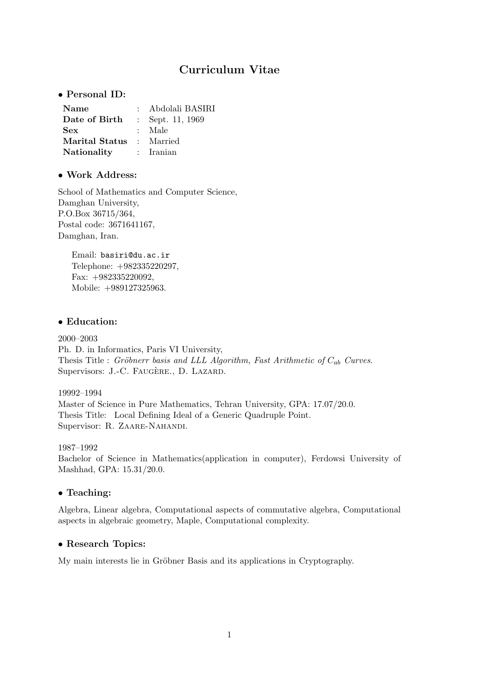# Curriculum Vitae

• Personal ID:

| Name           | Abdolali BASIRI    |
|----------------|--------------------|
| Date of Birth  | : Sept. $11, 1969$ |
| <b>Sex</b>     | : Male             |
| Marital Status | : Married          |
| Nationality    | : Iranian          |

# • Work Address:

School of Mathematics and Computer Science, Damghan University, P.O.Box 36715/364, Postal code: 3671641167, Damghan, Iran.

Email: basiri@du.ac.ir Telephone: +982335220297, Fax: +982335220092, Mobile: +989127325963.

## • Education:

2000–2003 Ph. D. in Informatics, Paris VI University, Thesis Title : Gröbnerr basis and LLL Algorithm, Fast Arithmetic of  $C_{ab}$  Curves. Supervisors: J.-C. FAUGÈRE., D. LAZARD.

## 19992–1994

Master of Science in Pure Mathematics, Tehran University, GPA: 17.07/20.0. Thesis Title: Local Defining Ideal of a Generic Quadruple Point. Supervisor: R. ZAARE-NAHANDI.

1987–1992 Bachelor of Science in Mathematics(application in computer), Ferdowsi University of

# • Teaching:

Algebra, Linear algebra, Computational aspects of commutative algebra, Computational aspects in algebraic geometry, Maple, Computational complexity.

# • Research Topics:

Mashhad, GPA: 15.31/20.0.

My main interests lie in Gröbner Basis and its applications in Cryptography.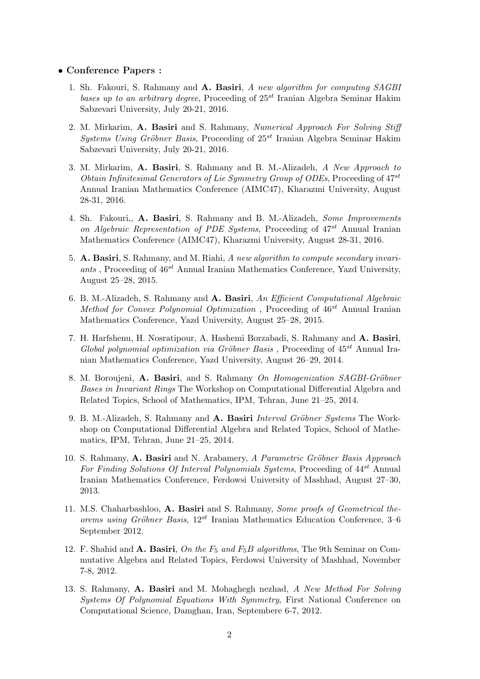#### • Conference Papers :

- 1. Sh. Fakouri, S. Rahmany and A. Basiri, A new algorithm for computing SAGBI bases up to an arbitrary degree, Proceeding of  $25^{st}$  Iranian Algebra Seminar Hakim Sabzevari University, July 20-21, 2016.
- 2. M. Mirkarim, A. Basiri and S. Rahmany, Numerical Approach For Solving Stiff Systems Using Gröbner Basis, Proceeding of  $25^{st}$  Iranian Algebra Seminar Hakim Sabzevari University, July 20-21, 2016.
- 3. M. Mirkarim, A. Basiri, S. Rahmany and B. M.-Alizadeh, A New Approach to Obtain Infinitesimal Generators of Lie Symmetry Group of ODEs, Proceeding of 47st Annual Iranian Mathematics Conference (AIMC47), Kharazmi University, August 28-31, 2016.
- 4. Sh. Fakouri,, A. Basiri, S. Rahmany and B. M.-Alizadeh, Some Improvements on Algebraic Representation of PDE Systems, Proceeding of  $47^{st}$  Annual Iranian Mathematics Conference (AIMC47), Kharazmi University, August 28-31, 2016.
- 5. A. Basiri, S. Rahmany, and M. Riahi, A new algorithm to compute secondary invariants, Proceeding of  $46^{st}$  Annual Iranian Mathematics Conference, Yazd University, August 25–28, 2015.
- 6. B. M.-Alizadeh, S. Rahmany and A. Basiri, An Efficient Computational Algebraic Method for Convex Polynomial Optimization, Proceeding of  $46^{st}$  Annual Iranian Mathematics Conference, Yazd University, August 25–28, 2015.
- 7. H. Harfshenu, H. Nosratipour, A. Hashemi Borzabadi, S. Rahmany and A. Basiri, Global polynomial optimization via Gröbner Basis, Proceeding of  $45^{st}$  Annual Iranian Mathematics Conference, Yazd University, August 26–29, 2014.
- 8. M. Boroujeni, A. Basiri, and S. Rahmany On Homogenization SAGBI-Gröbner Bases in Invariant Rings The Workshop on Computational Differential Algebra and Related Topics, School of Mathematics, IPM, Tehran, June 21–25, 2014.
- 9. B. M.-Alizadeh, S. Rahmany and A. Basiri Interval Gröbner Systems The Workshop on Computational Differential Algebra and Related Topics, School of Mathematics, IPM, Tehran, June 21–25, 2014.
- 10. S. Rahmany, A. Basiri and N. Arabamery, A Parametric Gröbner Basis Approach For Finding Solutions Of Interval Polynomials Systems, Proceeding of  $44^{st}$  Annual Iranian Mathematics Conference, Ferdowsi University of Mashhad, August 27–30, 2013.
- 11. M.S. Chaharbashloo, A. Basiri and S. Rahmany, Some proofs of Geometrical theorems using Gröbner Basis,  $12^{st}$  Iranian Mathematics Education Conference, 3–6 September 2012.
- 12. F. Shahid and A. Basiri, On the  $F_5$  and  $F_5B$  algorithms, The 9th Seminar on Commutative Algebra and Related Topics, Ferdowsi University of Mashhad, November 7-8, 2012.
- 13. S. Rahmany, A. Basiri and M. Mohaghegh nezhad, A New Method For Solving Systems Of Polynomial Equations With Symmetry, First National Conference on Computational Science, Damghan, Iran, Septembere 6-7, 2012.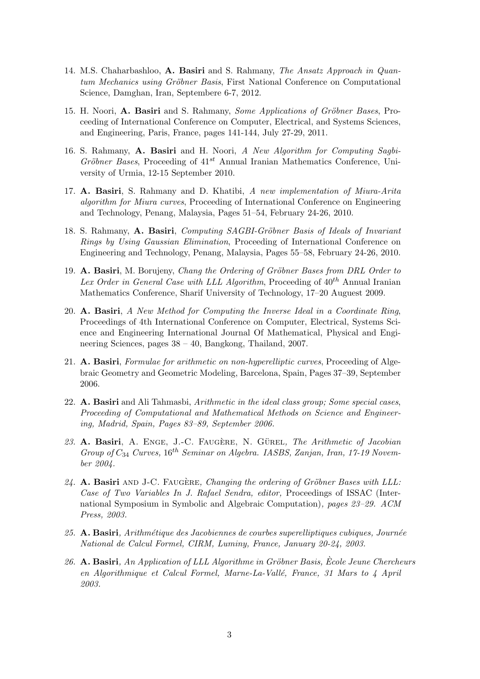- 14. M.S. Chaharbashloo, A. Basiri and S. Rahmany, The Ansatz Approach in Quantum Mechanics using Gröbner Basis, First National Conference on Computational Science, Damghan, Iran, Septembere 6-7, 2012.
- 15. H. Noori, A. Basiri and S. Rahmany, Some Applications of Gröbner Bases, Proceeding of International Conference on Computer, Electrical, and Systems Sciences, and Engineering, Paris, France, pages 141-144, July 27-29, 2011.
- 16. S. Rahmany, A. Basiri and H. Noori, A New Algorithm for Computing Sagbi-Gröbner Bases, Proceeding of  $41^{st}$  Annual Iranian Mathematics Conference, University of Urmia, 12-15 September 2010.
- 17. A. Basiri, S. Rahmany and D. Khatibi, A new implementation of Miura-Arita algorithm for Miura curves, Proceeding of International Conference on Engineering and Technology, Penang, Malaysia, Pages 51–54, February 24-26, 2010.
- 18. S. Rahmany, A. Basiri, Computing SAGBI-Gröbner Basis of Ideals of Invariant Rings by Using Gaussian Elimination, Proceeding of International Conference on Engineering and Technology, Penang, Malaysia, Pages 55–58, February 24-26, 2010.
- 19. A. Basiri, M. Borujeny, Chang the Ordering of Gröbner Bases from DRL Order to Lex Order in General Case with LLL Algorithm, Proceeding of  $40^{th}$  Annual Iranian Mathematics Conference, Sharif University of Technology, 17–20 Auguest 2009.
- 20. A. Basiri, A New Method for Computing the Inverse Ideal in a Coordinate Ring, Proceedings of 4th International Conference on Computer, Electrical, Systems Science and Engineering International Journal Of Mathematical, Physical and Engineering Sciences, pages 38 – 40, Bangkong, Thailand, 2007.
- 21. A. Basiri, Formulae for arithmetic on non-hyperelliptic curves, Proceeding of Algebraic Geometry and Geometric Modeling, Barcelona, Spain, Pages 37–39, September 2006.
- 22. A. Basiri and Ali Tahmasbi, Arithmetic in the ideal class group; Some special cases, Proceeding of Computational and Mathematical Methods on Science and Engineering, Madrid, Spain, Pages 83–89, September 2006.
- 23. A. Basiri, A. ENGE, J.-C. FAUGÈRE, N. GÜREL, The Arithmetic of Jacobian Group of  $C_{34}$  Curves, 16<sup>th</sup> Seminar on Algebra. IASBS, Zanjan, Iran, 17-19 November 2004.
- $24.$  A. Basiri AND J-C. FAUGERE, Changing the ordering of Gröbner Bases with LLL: Case of Two Variables In J. Rafael Sendra, editor, Proceedings of ISSAC (International Symposium in Symbolic and Algebraic Computation), pages 23–29. ACM Press, 2003.
- $25. A.$  Basiri, Arithmétique des Jacobiennes de courbes superelliptiques cubiques, Journée National de Calcul Formel, CIRM, Luminy, France, January 20-24, 2003.
- 26. A. Basiri, An Application of LLL Algorithme in Gröbner Basis, Ecole Jeune Chercheurs en Algorithmique et Calcul Formel, Marne-La-Vallé, France, 31 Mars to 4 April 2003.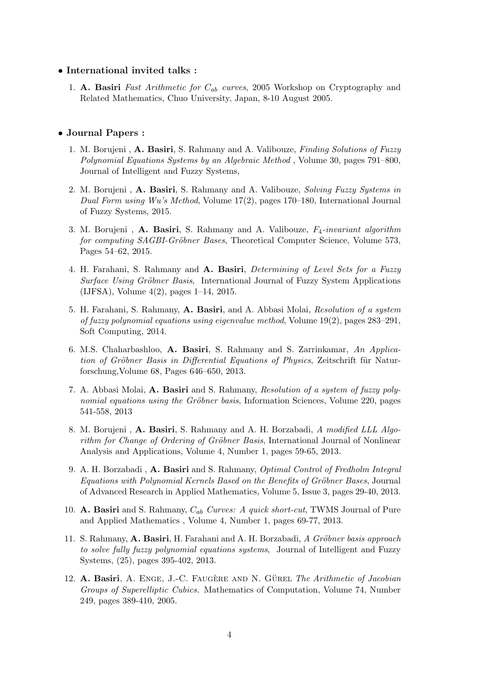#### • International invited talks :

1. A. Basiri Fast Arithmetic for  $C_{ab}$  curves, 2005 Workshop on Cryptography and Related Mathematics, Chuo University, Japan, 8-10 August 2005.

### • Journal Papers :

- 1. M. Borujeni, A. Basiri, S. Rahmany and A. Valibouze, *Finding Solutions of Fuzzy* Polynomial Equations Systems by an Algebraic Method , Volume 30, pages 791–800, Journal of Intelligent and Fuzzy Systems,
- 2. M. Borujeni, A. Basiri, S. Rahmany and A. Valibouze, Solving Fuzzy Systems in Dual Form using Wu's Method, Volume 17(2), pages 170–180, International Journal of Fuzzy Systems, 2015.
- 3. M. Borujeni, A. Basiri, S. Rahmany and A. Valibouze,  $F_4$ -invariant algorithm for computing SAGBI-Gröbner Bases, Theoretical Computer Science, Volume 573, Pages 54–62, 2015.
- 4. H. Farahani, S. Rahmany and A. Basiri, *Determining of Level Sets for a Fuzzy* Surface Using Gröbner Basis, International Journal of Fuzzy System Applications (IJFSA), Volume 4(2), pages 1–14, 2015.
- 5. H. Farahani, S. Rahmany, A. Basiri, and A. Abbasi Molai, Resolution of a system of fuzzy polynomial equations using eigenvalue method, Volume 19(2), pages 283–291, Soft Computing, 2014.
- 6. M.S. Chaharbashloo, A. Basiri, S. Rahmany and S. Zarrinkamar, An Application of Gröbner Basis in Differential Equations of Physics, Zeitschrift für Naturforschung,Volume 68, Pages 646–650, 2013.
- 7. A. Abbasi Molai, A. Basiri and S. Rahmany, Resolution of a system of fuzzy polynomial equations using the Gröbner basis, Information Sciences, Volume 220, pages 541-558, 2013
- 8. M. Borujeni , A. Basiri, S. Rahmany and A. H. Borzabadi, A modified LLL Algorithm for Change of Ordering of Gröbner Basis, International Journal of Nonlinear Analysis and Applications, Volume 4, Number 1, pages 59-65, 2013.
- 9. A. H. Borzabadi , A. Basiri and S. Rahmany, Optimal Control of Fredholm Integral Equations with Polynomial Kernels Based on the Benefits of Gröbner Bases, Journal of Advanced Research in Applied Mathematics, Volume 5, Issue 3, pages 29-40, 2013.
- 10. **A. Basiri** and S. Rahmany,  $C_{ab}$  Curves: A quick short-cut, TWMS Journal of Pure and Applied Mathematics , Volume 4, Number 1, pages 69-77, 2013.
- 11. S. Rahmany, A. Basiri, H. Farahani and A. H. Borzabadi, A Gröbner basis approach to solve fully fuzzy polynomial equations systems, Journal of Intelligent and Fuzzy Systems, (25), pages 395-402, 2013.
- 12. A. Basiri, A. ENGE, J.-C. FAUGÈRE AND N. GÜREL The Arithmetic of Jacobian Groups of Superelliptic Cubics. Mathematics of Computation, Volume 74, Number 249, pages 389-410, 2005.